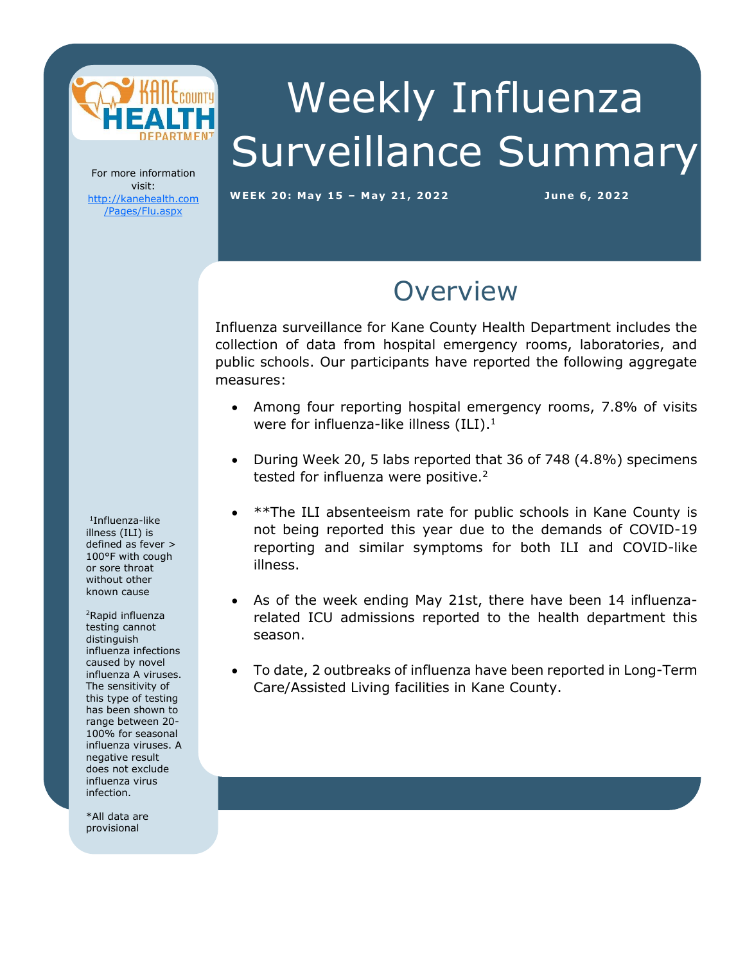

# Weekly Influenza Surveillance Summary

For more information visit: [http://kanehealth.com](http://kanehealth.com/Pages/Flu.aspx) [/Pages/Flu.aspx](http://kanehealth.com/Pages/Flu.aspx)

**WEEK 2 0: May 1 5 – May 2 1, 2 0 2 2 Ju ne 6, 2 0 22**

### **Overview**

Influenza surveillance for Kane County Health Department includes the collection of data from hospital emergency rooms, laboratories, and public schools. Our participants have reported the following aggregate measures:

- Among four reporting hospital emergency rooms, 7.8% of visits were for influenza-like illness  $(ILI).<sup>1</sup>$
- During Week 20, 5 labs reported that 36 of 748 (4.8%) specimens tested for influenza were positive.<sup>2</sup>
- \*\*The ILI absenteeism rate for public schools in Kane County is not being reported this year due to the demands of COVID-19 reporting and similar symptoms for both ILI and COVID-like illness.
- As of the week ending May 21st, there have been 14 influenzarelated ICU admissions reported to the health department this season.
- To date, 2 outbreaks of influenza have been reported in Long-Term Care/Assisted Living facilities in Kane County.

laboratories, individual schools, and school districts that provide the

data that make this monitoring possible.

1 Influenza-like illness (ILI) is defined as fever > 100°F with cough or sore throat without other known cause

<sup>2</sup>Rapid influenza testing cannot distinguish influenza infections caused by novel influenza A viruses. The sensitivity of this type of testing has been shown to range between 20- 100% for seasonal influenza viruses. A negative result does not exclude influenza virus infection.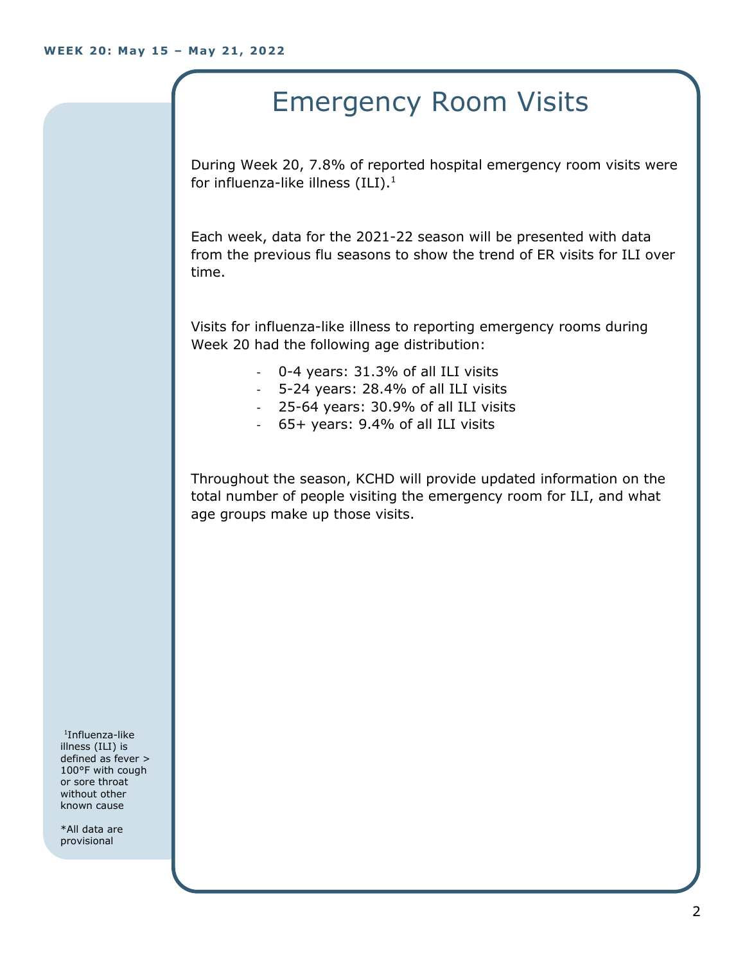# Emergency Room Visits

During Week 20, 7.8% of reported hospital emergency room visits were for influenza-like illness  $(III).<sup>1</sup>$ 

Each week, data for the 2021-22 season will be presented with data from the previous flu seasons to show the trend of ER visits for ILI over time.

Visits for influenza-like illness to reporting emergency rooms during Week 20 had the following age distribution:

- 0-4 years: 31.3% of all ILI visits
- 5-24 years: 28.4% of all ILI visits
- 25-64 years: 30.9% of all ILI visits
- 65+ years: 9.4% of all ILI visits

Throughout the season, KCHD will provide updated information on the total number of people visiting the emergency room for ILI, and what age groups make up those visits.

1 Influenza-like illness (ILI) is defined as fever > 100°F with cough or sore throat without other known cause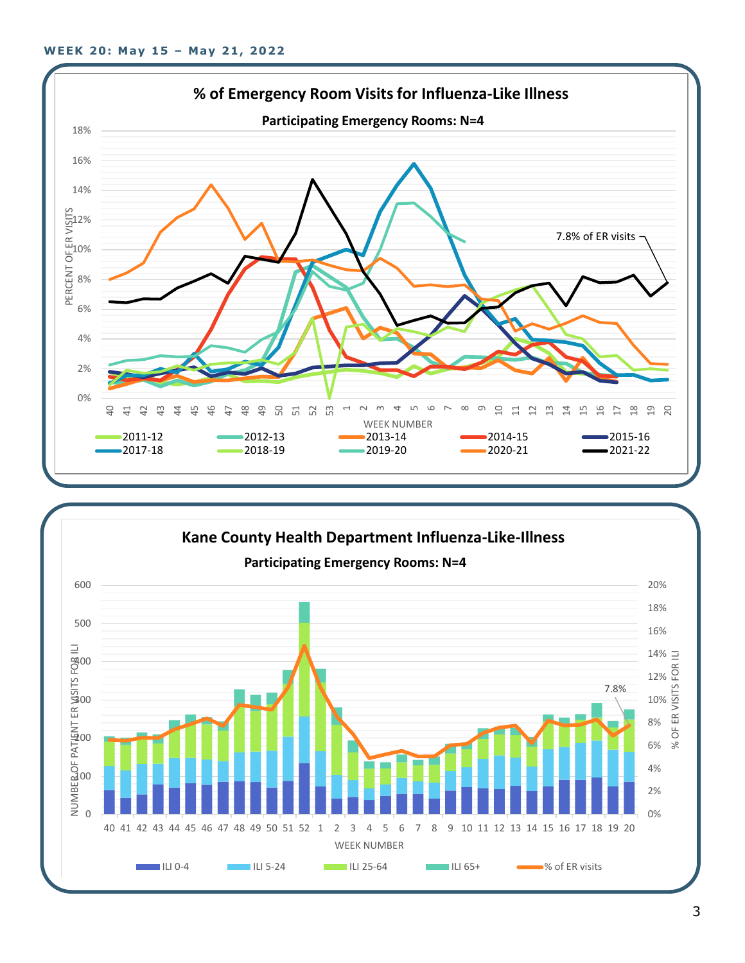

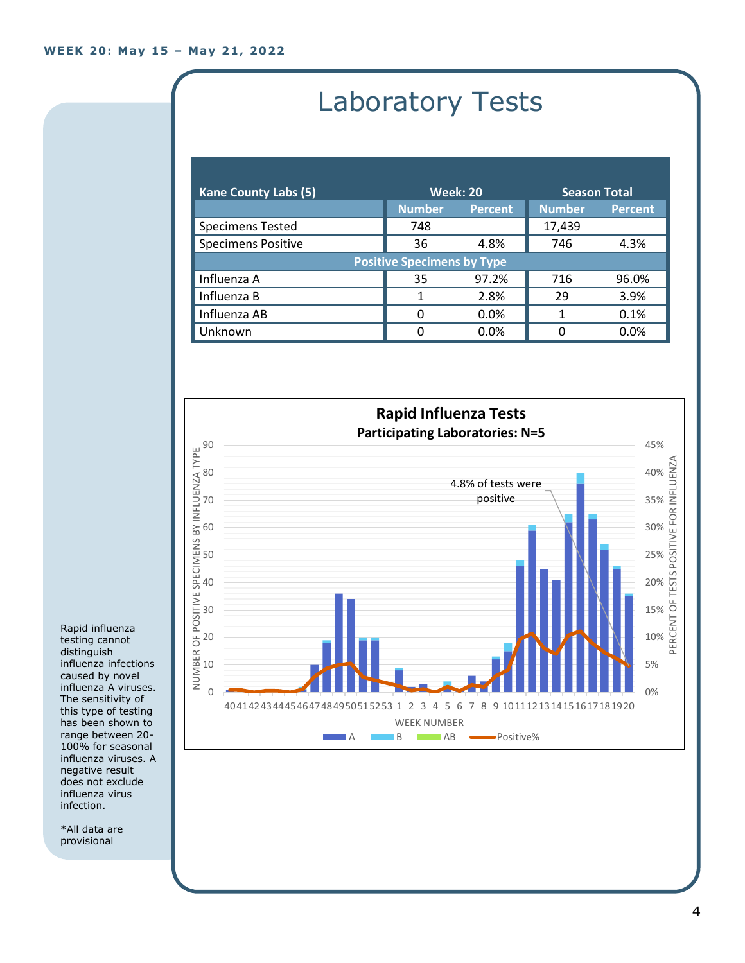## Laboratory Tests

| <b>Kane County Labs (5)</b>       | <b>Week: 20</b> |                | <b>Season Total</b> |                |  |
|-----------------------------------|-----------------|----------------|---------------------|----------------|--|
|                                   | <b>Number</b>   | <b>Percent</b> | <b>Number</b>       | <b>Percent</b> |  |
| <b>Specimens Tested</b>           | 748             |                | 17,439              |                |  |
| <b>Specimens Positive</b>         | 36              | 4.8%           | 746                 | 4.3%           |  |
| <b>Positive Specimens by Type</b> |                 |                |                     |                |  |
| Influenza A                       | 35              | 97.2%          | 716                 | 96.0%          |  |
| Influenza B                       |                 | 2.8%           | 29                  | 3.9%           |  |
| Influenza AB                      | 0               | $0.0\%$        |                     | 0.1%           |  |
| Unknown                           | 0               | 0.0%           | 0                   | 0.0%           |  |



Rapid influenza testing cannot distinguish influenza infections caused by novel influenza A viruses. The sensitivity of this type of testing has been shown to range between 20- 100% for seasonal influenza viruses. A negative result does not exclude influenza virus infection.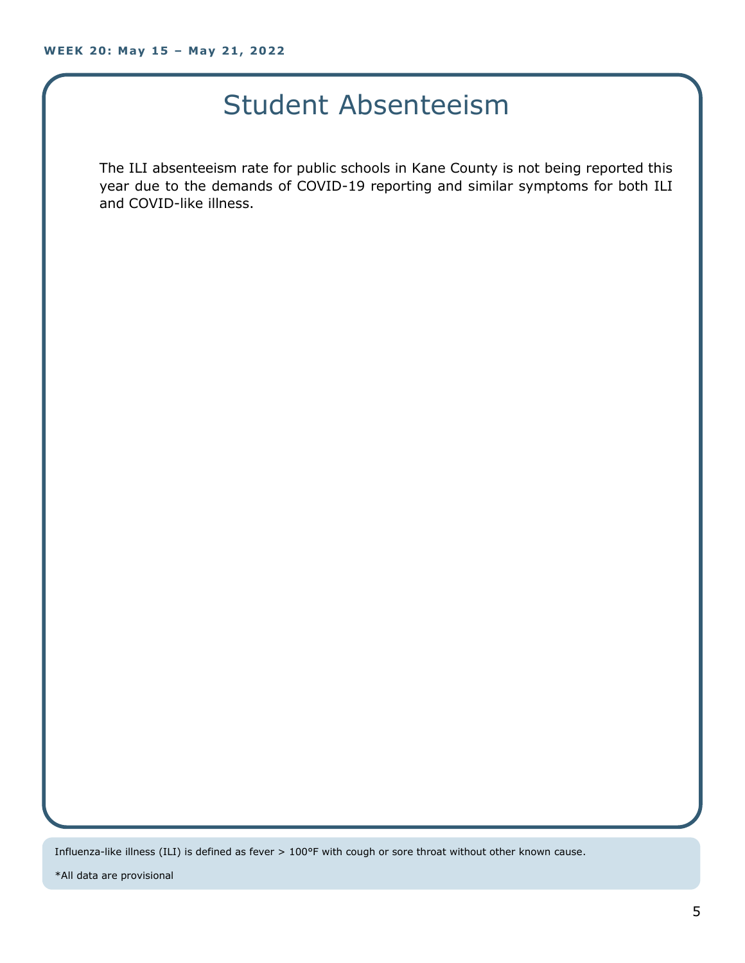### Student Absenteeism

The ILI absenteeism rate for public schools in Kane County is not being reported this year due to the demands of COVID-19 reporting and similar symptoms for both ILI and COVID-like illness.

Influenza-like illness (ILI) is defined as fever > 100°F with cough or sore throat without other known cause.